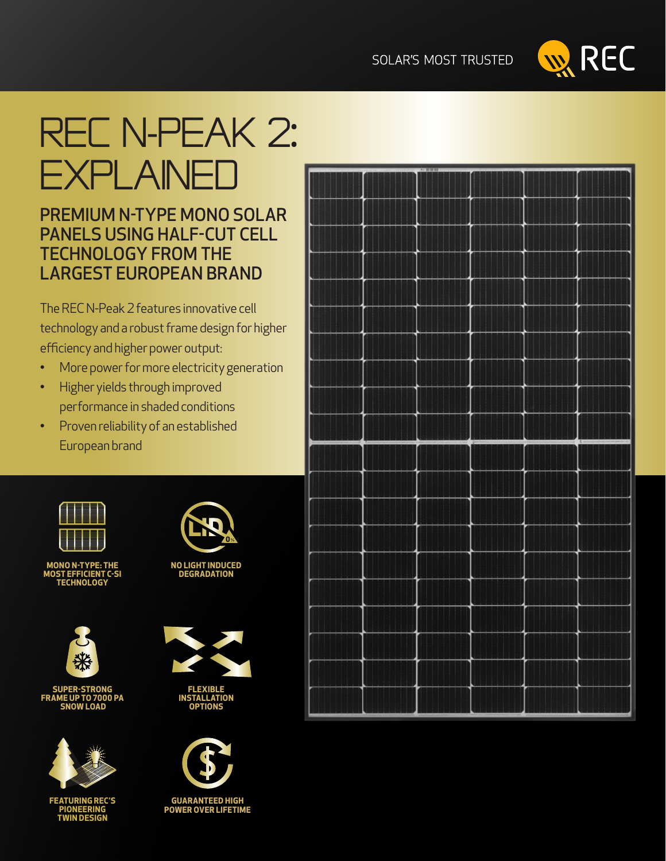**SOLAR'S MOST TRUSTED** 



# rec N-Peak 2: **EXPLAINED**

### PREMIUM N-TYPE MONO SOLAR PANELS USING HALF-CUT CELL TECHNOLOGY FROM THE LARGEST EUROPEAN BRAND

The REC N-Peak 2 features innovative cell technology and a robust frame design for higher efficiency and higher power output:

- More power for more electricity generation
- Higher yields through improved performance in shaded conditions
- Proven reliability of an established European brand



**MONO N-TYPE: THE MOST EFFICIENT C-SI TECHNOLOGY**



**SUPER-STRONG FRAME UP TO 7000 PA SNOW LOAD**



**FEATURING REC'S PIONEERING TWIN DESIGN**



**NO LIGHT INDUCED DEGRADATION**





**OPTIONS**

**GUARANTEED HIGH POWER OVER LIFETIME**